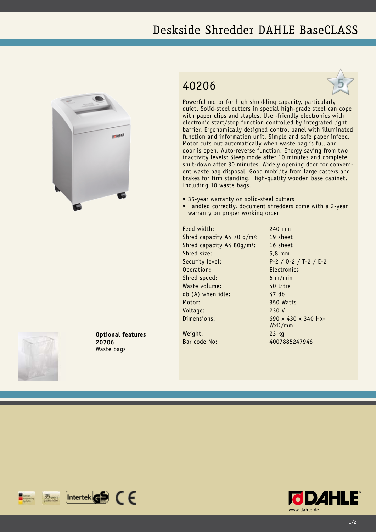## Deskside Shredder DAHLE BaseCLASS



## 40206



Powerful motor for high shredding capacity, particularly quiet. Solid-steel cutters in special high-grade steel can cope with paper clips and staples. User-friendly electronics with electronic start/stop function controlled by integrated light barrier. Ergonomically designed control panel with illuminated function and information unit. Simple and safe paper infeed. Motor cuts out automatically when waste bag is full and door is open. Auto-reverse function. Energy saving from two inactivity levels: Sleep mode after 10 minutes and complete shut-down after 30 minutes. Widely opening door for convenient waste bag disposal. Good mobility from large casters and brakes for firm standing. High-quality wooden base cabinet. Including 10 waste bags.

- 35-year warranty on solid-steel cutters
- Handled correctly, document shredders come with a 2-year warranty on proper working order

Feed width: 240 mm Shred capacity A4 70 g/m<sup>2</sup>: 19 sheet Shred capacity A4 80g/m²: 16 sheet Shred size: 5,8 mm Security level: P-2 / O-2 / T-2 / E-2 Operation: Electronics Shred speed: 6 m/min Waste volume: 40 Litre db (A) when idle: 47 db Motor: 350 Watts Voltage: 230 V Dimensions: 690 x 430 x 340 Hx-

WxD/mm

Weight: 23 kg Bar code No: 4007885247946



**Optional features 20706** Waste bags

 $[$ Intertek $\mathbf{G}$  $\mathbf{S}$   $\in$   $\in$